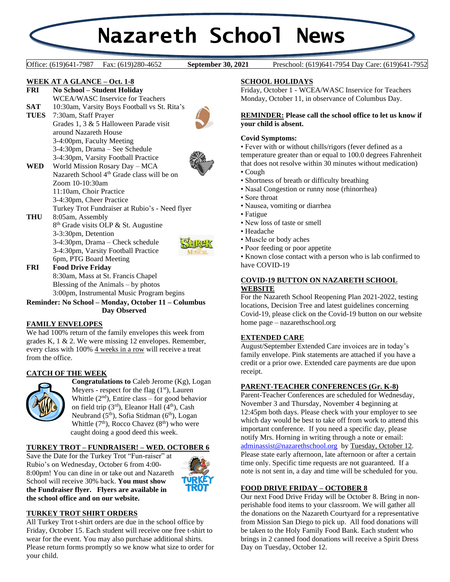# **Nazareth School News**

**September 30, 2021** 

Office: (619)641-7987 Fax: (619)280-4652 **September 30, 2021** Preschool: (619)641-7954 Day Care: (619)641-7952

## **WEEK AT A GLANCE – Oct. 1-8**

**FRI No School – Student Holiday** WCEA/WASC Inservice for Teachers

- 
- SAT 10:30am, Varsity Boys Football vs St. Rita's<br>TUES 7:30am, Staff Prayer 7:30am, Staff Prayer Grades 1, 3 & 5 Halloween Parade visit around Nazareth House 3-4:00pm, Faculty Meeting 3-4:30pm, Drama – See Schedule 3-4:30pm, Varsity Football Practice



**WED** World Mission Rosary Day – MCA Nazareth School 4<sup>th</sup> Grade class will be on Zoom 10-10:30am 11:10am, Choir Practice 3-4:30pm, Cheer Practice Turkey Trot Fundraiser at Rubio's - Need flyer

**THU** 8:05am, Assembly 8<sup>th</sup> Grade visits OLP & St. Augustine 3-3:30pm, Detention 3-4:30pm, Drama – Check schedule 3-4:30pm, Varsity Football Practice 6pm, PTG Board Meeting



**FRI Food Drive Friday** 8:30am, Mass at St. Francis Chapel Blessing of the Animals – by photos 3:00pm, Instrumental Music Program begins

**Reminder: No School – Monday, October 11 – Columbus Day Observed**

# **FAMILY ENVELOPES**

We had 100% return of the family envelopes this week from grades K, 1 & 2. We were missing 12 envelopes. Remember, every class with 100% 4 weeks in a row will receive a treat from the office.

# **CATCH OF THE WEEK**



**Congratulations to** Caleb Jerome (Kg), Logan Meyers - respect for the flag  $(1<sup>st</sup>)$ , Lauren Whittle  $(2<sup>nd</sup>)$ , Entire class – for good behavior on field trip  $(3<sup>rd</sup>)$ , Eleanor Hall  $(4<sup>th</sup>)$ , Cash Neubrand  $(5<sup>th</sup>)$ , Sofia Stidman  $(6<sup>th</sup>)$ , Logan Whittle  $(7<sup>th</sup>)$ , Rocco Chavez  $(8<sup>th</sup>)$  who were caught doing a good deed this week.

# **TURKEY TROT – FUNDRAISER! – WED. OCTOBER 6**

Save the Date for the Turkey Trot "Fun-raiser" at Rubio's on Wednesday, October 6 from 4:00- 8:00pm! You can dine in or take out and Nazareth School will receive 30% back. **You must show the Fundraiser flyer. Flyers are available in the school office and on our website.**



# **TURKEY TROT SHIRT ORDERS**

All Turkey Trot t-shirt orders are due in the school office by Friday, October 15. Each student will receive one free t-shirt to wear for the event. You may also purchase additional shirts. Please return forms promptly so we know what size to order for your child.

# **SCHOOL HOLIDAYS**

Friday, October 1 - WCEA/WASC Inservice for Teachers Monday, October 11, in observance of Columbus Day.

#### **REMINDER: Please call the school office to let us know if your child is absent.**

## **Covid Symptoms:**

• Fever with or without chills/rigors (fever defined as a temperature greater than or equal to 100.0 degrees Fahrenheit that does not resolve within 30 minutes without medication)

- Cough
- Shortness of breath or difficulty breathing
- Nasal Congestion or runny nose (rhinorrhea)
- Sore throat
- Nausea, vomiting or diarrhea
- Fatigue
- New loss of taste or smell
- Headache
- Muscle or body aches
- Poor feeding or poor appetite

• Known close contact with a person who is lab confirmed to have COVID-19

#### **COVID-19 BUTTON ON NAZARETH SCHOOL WEBSITE**

For the Nazareth School Reopening Plan 2021-2022, testing locations, Decision Tree and latest guidelines concerning Covid-19, please click on the Covid-19 button on our website home page – nazarethschool.org

### **EXTENDED CARE**

August/September Extended Care invoices are in today's family envelope. Pink statements are attached if you have a credit or a prior owe. Extended care payments are due upon receipt.

### **PARENT-TEACHER CONFERENCES (Gr. K-8)**

Parent-Teacher Conferences are scheduled for Wednesday, November 3 and Thursday, November 4 beginning at 12:45pm both days. Please check with your employer to see which day would be best to take off from work to attend this important conference. If you need a specific day, please notify Mrs. Horning in writing through a note or email: [adminassist@nazarethschool.org](mailto:adminassist@nazarethschool.org) by Tuesday, October 12. Please state early afternoon, late afternoon or after a certain time only. Specific time requests are not guaranteed. If a note is not sent in, a day and time will be scheduled for you.

### **FOOD DRIVE FRIDAY – OCTOBER 8**

Our next Food Drive Friday will be October 8. Bring in nonperishable food items to your classroom. We will gather all the donations on the Nazareth Courtyard for a representative from Mission San Diego to pick up. All food donations will be taken to the Holy Family Food Bank. Each student who brings in 2 canned food donations will receive a Spirit Dress Day on Tuesday, October 12.